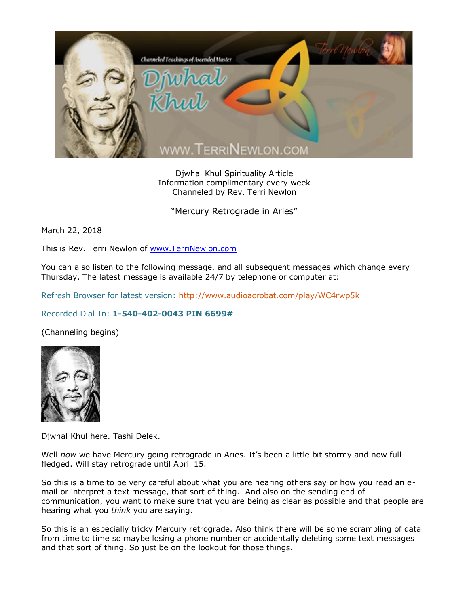

Djwhal Khul Spirituality Article Information complimentary every week Channeled by Rev. Terri Newlon

"Mercury Retrograde in Aries"

March 22, 2018

This is Rev. Terri Newlon of [www.TerriNewlon.com](http://www.terrinewlon.com/)

You can also listen to the following message, and all subsequent messages which change every Thursday. The latest message is available 24/7 by telephone or computer at:

Refresh Browser for latest version:<http://www.audioacrobat.com/play/WC4rwp5k>

## Recorded Dial-In: **1-540-402-0043 PIN 6699#**

(Channeling begins)



Djwhal Khul here. Tashi Delek.

Well *now* we have Mercury going retrograde in Aries. It's been a little bit stormy and now full fledged. Will stay retrograde until April 15.

So this is a time to be very careful about what you are hearing others say or how you read an email or interpret a text message, that sort of thing. And also on the sending end of communication, you want to make sure that you are being as clear as possible and that people are hearing what you *think* you are saying.

So this is an especially tricky Mercury retrograde. Also think there will be some scrambling of data from time to time so maybe losing a phone number or accidentally deleting some text messages and that sort of thing. So just be on the lookout for those things.